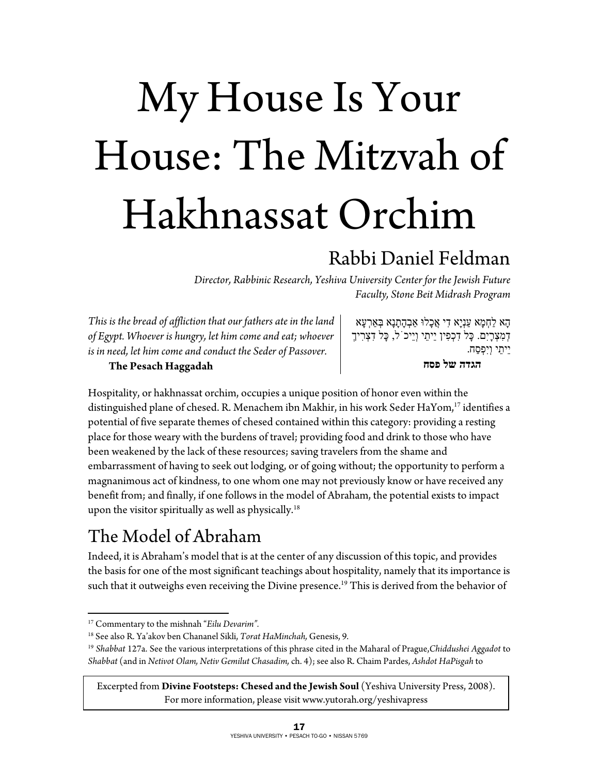# My House Is Your House: The Mitzvah of Hakhnassat Orchim

## Rabbi Daniel Feldman

*Director, Rabbinic Research, Yeshiva University Center for the Jewish Future Faculty, Stone Beit Midrash Program* 

*This is the bread of affliction that our fathers ate in the land of Egypt. Whoever is hungry, let him come and eat; whoever is in need, let him come and conduct the Seder of Passover.* 

#### **The Pesach Haggadah**

הָא לַחְמָא עַנְיָא דִי אֲכָלוּ אַבְהָתָנָא בְּאַרְעָא דְמִצְרָיִם. כָּל דִכְפִין יֵיתֵי וְיֵיכֹל, כָּל דִצְר ְ ִיך יֵיתֵי וְיִפְסַח.

 **הגדה של פסח** 

Hospitality, or hakhnassat orchim, occupies a unique position of honor even within the distinguished plane of chesed. R. Menachem ibn Makhir, in his work Seder HaYom,<sup>17</sup> identifies a potential of five separate themes of chesed contained within this category: providing a resting place for those weary with the burdens of travel; providing food and drink to those who have been weakened by the lack of these resources; saving travelers from the shame and embarrassment of having to seek out lodging, or of going without; the opportunity to perform a magnanimous act of kindness, to one whom one may not previously know or have received any benefit from; and finally, if one follows in the model of Abraham, the potential exists to impact upon the visitor spiritually as well as physically.<sup>18</sup>

### The Model of Abraham

Indeed, it is Abraham's model that is at the center of any discussion of this topic, and provides the basis for one of the most significant teachings about hospitality, namely that its importance is such that it outweighs even receiving the Divine presence.<sup>19</sup> This is derived from the behavior of

1

Excerpted from **Divine Footsteps: Chesed and the Jewish Soul** (Yeshiva University Press, 2008). For more information, please visit www.yutorah.org/yeshivapress

<sup>17</sup> Commentary to the mishnah "*Eilu Devarim".* 

<sup>&</sup>lt;sup>18</sup> See also R. Ya'akov ben Chananel Sikli, *Torat HaMinchah*, Genesis, 9.<br><sup>19</sup> Shabbat 127a. See the various interpretations of this phrase cited in the Maharal of Prague,*Chiddushei Aggadot* to *Shabbat* (and in *Netivot Olam, Netiv Gemilut Chasadim,* ch. 4); see also R. Chaim Pardes, *Ashdot HaPisgah* to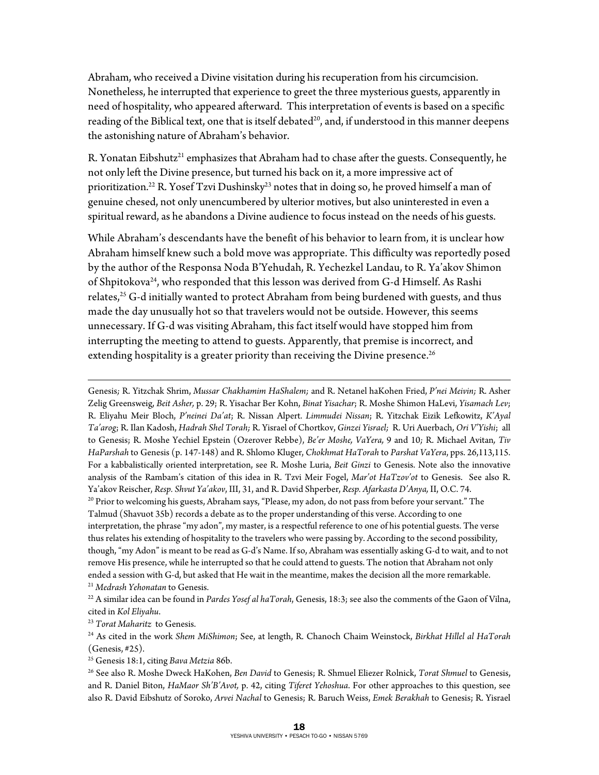Abraham, who received a Divine visitation during his recuperation from his circumcision. Nonetheless, he interrupted that experience to greet the three mysterious guests, apparently in need of hospitality, who appeared afterward. This interpretation of events is based on a specific reading of the Biblical text, one that is itself debated<sup>20</sup>, and, if understood in this manner deepens the astonishing nature of Abraham's behavior.

R. Yonatan Eibshutz<sup>21</sup> emphasizes that Abraham had to chase after the guests. Consequently, he not only left the Divine presence, but turned his back on it, a more impressive act of prioritization.<sup>22</sup> R. Yosef Tzvi Dushinsky<sup>23</sup> notes that in doing so, he proved himself a man of genuine chesed, not only unencumbered by ulterior motives, but also uninterested in even a spiritual reward, as he abandons a Divine audience to focus instead on the needs of his guests.

While Abraham's descendants have the benefit of his behavior to learn from, it is unclear how Abraham himself knew such a bold move was appropriate. This difficulty was reportedly posed by the author of the Responsa Noda B'Yehudah, R. Yechezkel Landau, to R. Ya'akov Shimon of Shpitokova<sup>24</sup>, who responded that this lesson was derived from G-d Himself. As Rashi relates,<sup>25</sup> G-d initially wanted to protect Abraham from being burdened with guests, and thus made the day unusually hot so that travelers would not be outside. However, this seems unnecessary. If G-d was visiting Abraham, this fact itself would have stopped him from interrupting the meeting to attend to guests. Apparently, that premise is incorrect, and extending hospitality is a greater priority than receiving the Divine presence.<sup>26</sup>

Genesis*;* R. Yitzchak Shrim, *Mussar Chakhamim HaShalem;* and R. Netanel haKohen Fried, *P'nei Meivin;* R. Asher Zelig Greensweig, *Beit Asher,* p. 29; R. Yisachar Ber Kohn, *Binat Yisachar*; R. Moshe Shimon HaLevi, *Yisamach Lev*; R. Eliyahu Meir Bloch, *P'neinei Da'at*; R. Nissan Alpert. *Limmudei Nissan*; R. Yitzchak Eizik Lefkowitz, *K'Ayal Ta'arog*; R. Ilan Kadosh, *Hadrah Shel Torah;* R. Yisrael of Chortkov, *Ginzei Yisrael;* R. Uri Auerbach, *Ori V'Yishi*; all to Genesis; R. Moshe Yechiel Epstein (Ozerover Rebbe), *Be'er Moshe, VaYera,* 9 and 10*;* R. Michael Avitan*, Tiv HaParshah* to Genesis (p. 147-148) and R. Shlomo Kluger, *Chokhmat HaTorah* to *Parshat VaYera*, pps. 26,113,115. For a kabbalistically oriented interpretation, see R. Moshe Luria, *Beit Ginzi* to Genesis. Note also the innovative analysis of the Rambam's citation of this idea in R. Tzvi Meir Fogel, *Mar'ot HaTzov'ot* to Genesis. See also R. Ya'akov Reischer, *Resp. Shvut Ya'akov*, III, 31, and R. David Shperber, *Resp. Afarkasta D'Anya,* II, O.C. 74.<br><sup>20</sup> Prior to welcoming his guests, Abraham says, "Please, my adon, do not pass from before your servant." The Talmud (Shavuot 35b) records a debate as to the proper understanding of this verse. According to one interpretation, the phrase "my adon", my master, is a respectful reference to one of his potential guests. The verse thus relates his extending of hospitality to the travelers who were passing by. According to the second possibility, though, "my Adon" is meant to be read as G-d's Name. If so, Abraham was essentially asking G-d to wait, and to not remove His presence, while he interrupted so that he could attend to guests. The notion that Abraham not only ended a session with G-d, but asked that He wait in the meantime, makes the decision all the more remarkable.<br><sup>21</sup> Medrash Yehonatan to Genesis.<br><sup>22</sup> A similar idea can be found in *Pardes Yosef al haTorah*, Genesis, 18:3;

cited in *Kol Eliyahu*. 23 *Torat Maharitz* to Genesis. 24 As cited in the work *Shem MiShimon*; See, at length, R. Chanoch Chaim Weinstock, *Birkhat Hillel al HaTorah*

1

(Genesis, #25).<br><sup>25</sup> Genesis 18:1, citing *Bava Metzia* 86b.

<sup>26</sup> See also R. Moshe Dweck HaKohen, *Ben David* to Genesis; R. Shmuel Eliezer Rolnick, *Torat Shmuel* to Genesis, and R. Daniel Biton, *HaMaor Sh'B'Avot,* p. 42, citing *Tiferet Yehoshua*. For other approaches to this question, see also R. David Eibshutz of Soroko, *Arvei Nachal* to Genesis; R. Baruch Weiss, *Emek Berakhah* to Genesis; R. Yisrael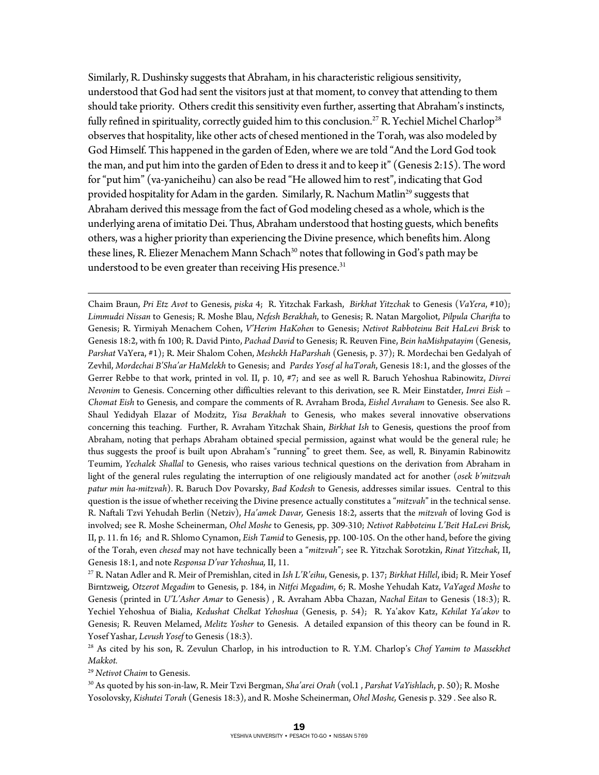Similarly, R. Dushinsky suggests that Abraham, in his characteristic religious sensitivity, understood that God had sent the visitors just at that moment, to convey that attending to them should take priority. Others credit this sensitivity even further, asserting that Abraham's instincts, fully refined in spirituality, correctly guided him to this conclusion.<sup>27</sup> R. Yechiel Michel Charlop<sup>28</sup> observes that hospitality, like other acts of chesed mentioned in the Torah, was also modeled by God Himself. This happened in the garden of Eden, where we are told "And the Lord God took the man, and put him into the garden of Eden to dress it and to keep it" (Genesis 2:15). The word for "put him" (va-yanicheihu) can also be read "He allowed him to rest", indicating that God provided hospitality for Adam in the garden. Similarly, R. Nachum Matlin<sup>29</sup> suggests that Abraham derived this message from the fact of God modeling chesed as a whole, which is the underlying arena of imitatio Dei. Thus, Abraham understood that hosting guests, which benefits others, was a higher priority than experiencing the Divine presence, which benefits him. Along these lines, R. Eliezer Menachem Mann Schach<sup>30</sup> notes that following in God's path may be understood to be even greater than receiving His presence. $31$ 

Chaim Braun, *Pri Etz Avot* to Genesis, *piska* 4; R. Yitzchak Farkash, *Birkhat Yitzchak* to Genesis (*VaYera*, #10); *Limmudei Nissan* to Genesis; R. Moshe Blau, *Nefesh Berakhah*, to Genesis; R. Natan Margoliot, *Pilpula Charifta* to Genesis; R. Yirmiyah Menachem Cohen, *V'Herim HaKohen* to Genesis; *Netivot Rabboteinu Beit HaLevi Brisk* to Genesis 18:2, with fn 100; R. David Pinto, *Pachad David* to Genesis; R. Reuven Fine, *Bein haMishpatayim* (Genesis, *Parshat* VaYera, #1); R. Meir Shalom Cohen, *Meshekh HaParshah* (Genesis, p. 37); R. Mordechai ben Gedalyah of Zevhil, *Mordechai B'Sha'ar HaMelekh* to Genesis; and *Pardes Yosef al haTorah*, Genesis 18:1, and the glosses of the Gerrer Rebbe to that work, printed in vol. II, p. 10, #7; and see as well R. Baruch Yehoshua Rabinowitz, *Divrei Nevonim* to Genesis. Concerning other difficulties relevant to this derivation, see R. Meir Einstatder, *Imrei Eish – Chomat Eish* to Genesis, and compare the comments of R. Avraham Broda, *Eishel Avraham* to Genesis. See also R. Shaul Yedidyah Elazar of Modzitz, *Yisa Berakhah* to Genesis, who makes several innovative observations concerning this teaching. Further, R. Avraham Yitzchak Shain, *Birkhat Ish* to Genesis, questions the proof from Abraham, noting that perhaps Abraham obtained special permission, against what would be the general rule; he thus suggests the proof is built upon Abraham's "running" to greet them. See, as well, R. Binyamin Rabinowitz Teumim, *Yechalek Shallal* to Genesis, who raises various technical questions on the derivation from Abraham in light of the general rules regulating the interruption of one religiously mandated act for another (*osek b'mitzvah patur min ha-mitzvah*). R. Baruch Dov Povarsky, *Bad Kodesh* to Genesis, addresses similar issues. Central to this question is the issue of whether receiving the Divine presence actually constitutes a "*mitzvah*" in the technical sense. R. Naftali Tzvi Yehudah Berlin (Netziv), *Ha'amek Davar,* Genesis 18:2, asserts that the *mitzvah* of loving God is involved; see R. Moshe Scheinerman, *Ohel Moshe* to Genesis, pp. 309-310; *Netivot Rabboteinu L'Beit HaLevi Brisk,*  II, p. 11. fn 16; and R. Shlomo Cynamon, *Eish Tamid* to Genesis, pp. 100-105. On the other hand, before the giving of the Torah, even *chesed* may not have technically been a "*mitzvah*"; see R. Yitzchak Sorotzkin, *Rinat Yitzchak*, II, Genesis 18:1, and note *Responsa D'var Yehoshua,* II, 11.<br><sup>27</sup> R. Natan Adler and R. Meir of Premishlan, cited in *Ish L'R'eihu*, Genesis, p. 137; *Birkhat Hillel*, ibid; R. Meir Yosef

Birntzweig, *Otzerot Megadim* to Genesis, p. 184, in *Nitfei Megadim*, 6; R. Moshe Yehudah Katz, *VaYaged Moshe* to Genesis (printed in *U'L'Asher Amar* to Genesis) , R. Avraham Abba Chazan, *Nachal Eitan* to Genesis (18:3); R. Yechiel Yehoshua of Bialia, *Kedushat Chelkat Yehoshua* (Genesis, p. 54); R. Ya'akov Katz, *Kehilat Ya'akov* to Genesis; R. Reuven Melamed, *Melitz Yosher* to Genesis. A detailed expansion of this theory can be found in R. Yosef Yashar, *Levush Yosef* to Genesis (18:3). 28 As cited by his son, R. Zevulun Charlop, in his introduction to R. Y.M. Charlop's *Chof Yamim to Massekhet* 

*Makkot.* 

 $\overline{a}$ 

<sup>29</sup> *Netivot Chaim* to Genesis.<br><sup>30</sup> As quoted by his son-in-law, R. Meir Tzvi Bergman, *Sha'arei Orah* (vol.1 , *Parshat VaYishlach*, p. 50); R. Moshe Yosolovsky, *Kishutei Torah* (Genesis 18:3), and R. Moshe Scheinerman, *Ohel Moshe,* Genesis p. 329 . See also R.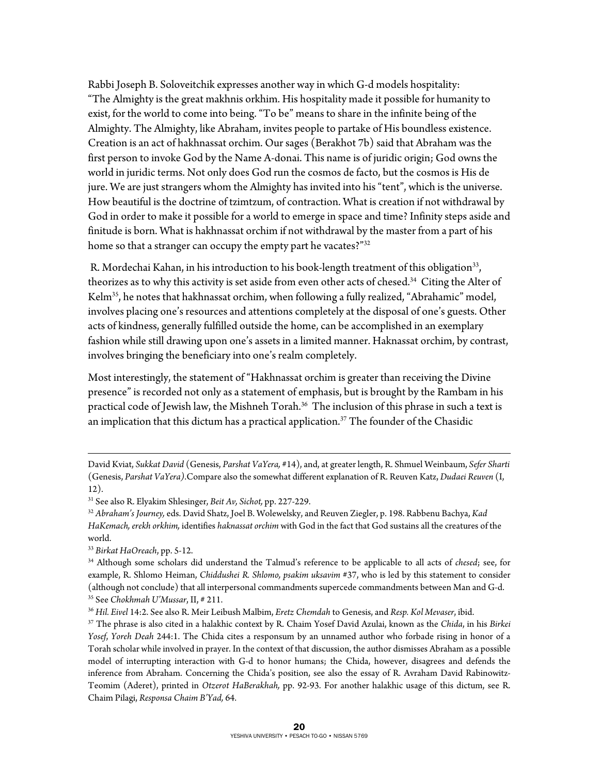Rabbi Joseph B. Soloveitchik expresses another way in which G-d models hospitality: "The Almighty is the great makhnis orkhim. His hospitality made it possible for humanity to exist, for the world to come into being. "To be" means to share in the infinite being of the Almighty. The Almighty, like Abraham, invites people to partake of His boundless existence. Creation is an act of hakhnassat orchim. Our sages (Berakhot 7b) said that Abraham was the first person to invoke God by the Name A-donai. This name is of juridic origin; God owns the world in juridic terms. Not only does God run the cosmos de facto, but the cosmos is His de jure. We are just strangers whom the Almighty has invited into his "tent", which is the universe. How beautiful is the doctrine of tzimtzum, of contraction. What is creation if not withdrawal by God in order to make it possible for a world to emerge in space and time? Infinity steps aside and finitude is born. What is hakhnassat orchim if not withdrawal by the master from a part of his home so that a stranger can occupy the empty part he vacates?"<sup>32</sup>

R. Mordechai Kahan, in his introduction to his book-length treatment of this obligation<sup>33</sup>, theorizes as to why this activity is set aside from even other acts of chesed.<sup>34</sup> Citing the Alter of Kelm<sup>35</sup>, he notes that hakhnassat orchim, when following a fully realized, "Abrahamic" model, involves placing one's resources and attentions completely at the disposal of one's guests. Other acts of kindness, generally fulfilled outside the home, can be accomplished in an exemplary fashion while still drawing upon one's assets in a limited manner. Haknassat orchim, by contrast, involves bringing the beneficiary into one's realm completely.

Most interestingly, the statement of "Hakhnassat orchim is greater than receiving the Divine presence" is recorded not only as a statement of emphasis, but is brought by the Rambam in his practical code of Jewish law, the Mishneh Torah.<sup>36</sup> The inclusion of this phrase in such a text is an implication that this dictum has a practical application.<sup>37</sup> The founder of the Chasidic

David Kviat, *Sukkat David* (Genesis, *Parshat VaYera,* #14), and, at greater length, R. Shmuel Weinbaum, *Sefer Sharti*  (Genesis, *Parshat VaYera)*.Compare also the somewhat different explanation of R. Reuven Katz, *Dudaei Reuven* (I, 12).

<sup>31</sup> See also R. Elyakim Shlesinger, *Beit Av, Sichot,* pp. 227-229.

<sup>32</sup> *Abraham's Journey,* eds. David Shatz, Joel B. Wolewelsky, and Reuven Ziegler, p. 198. Rabbenu Bachya, *Kad HaKemach, erekh orkhim,* identifies *haknassat orchim* with God in the fact that God sustains all the creatures of the world.

<sup>&</sup>lt;sup>33</sup> Birk*at HaOreach,* pp. 5-12.<br><sup>34</sup> Although some scholars did understand the Talmud's reference to be applicable to all acts of *chesed*; see, for example, R. Shlomo Heiman, *Chiddushei R. Shlomo, psakim uksavim* #37, who is led by this statement to consider (although not conclude) that all interpersonal commandments supercede commandments between Man and G-d.<br><sup>35</sup> See Chokhmah U'Mussar, II, # 211.<br><sup>36</sup> Hil. Eivel 14:2. See also R. Meir Leibush Malbim, *Eretz Chemdah* to Genes

*Yosef*, *Yoreh Deah* 244:1. The Chida cites a responsum by an unnamed author who forbade rising in honor of a Torah scholar while involved in prayer. In the context of that discussion, the author dismisses Abraham as a possible model of interrupting interaction with G-d to honor humans; the Chida, however, disagrees and defends the inference from Abraham. Concerning the Chida's position, see also the essay of R. Avraham David Rabinowitz-Teomim (Aderet), printed in *Otzerot HaBerakhah,* pp. 92-93. For another halakhic usage of this dictum, see R. Chaim Pilagi, *Responsa Chaim B'Yad,* 64.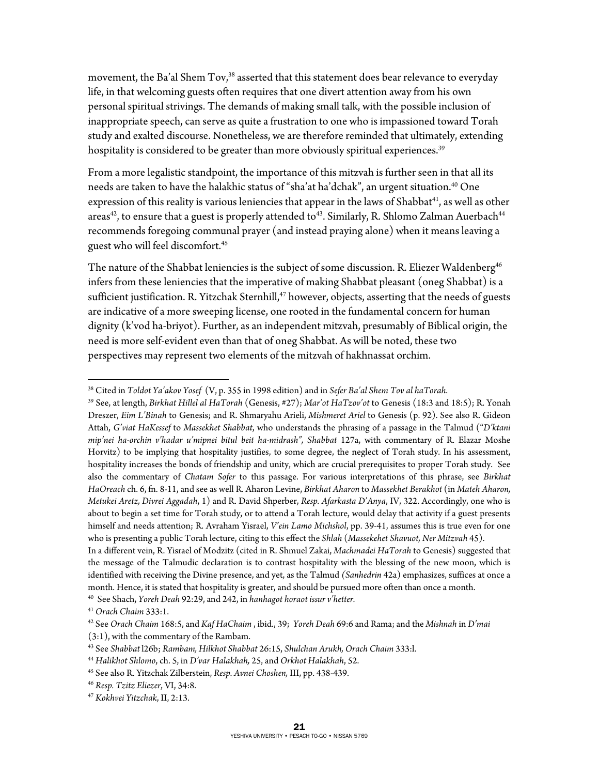movement, the Ba'al Shem Tov,<sup>38</sup> asserted that this statement does bear relevance to everyday life, in that welcoming guests often requires that one divert attention away from his own personal spiritual strivings. The demands of making small talk, with the possible inclusion of inappropriate speech, can serve as quite a frustration to one who is impassioned toward Torah study and exalted discourse. Nonetheless, we are therefore reminded that ultimately, extending hospitality is considered to be greater than more obviously spiritual experiences.<sup>39</sup>

From a more legalistic standpoint, the importance of this mitzvah is further seen in that all its needs are taken to have the halakhic status of "sha'at ha'dchak", an urgent situation.<sup>40</sup> One expression of this reality is various leniencies that appear in the laws of Shabbat<sup>41</sup>, as well as other areas<sup>42</sup>, to ensure that a guest is properly attended to<sup>43</sup>. Similarly, R. Shlomo Zalman Auerbach<sup>44</sup> recommends foregoing communal prayer (and instead praying alone) when it means leaving a guest who will feel discomfort.45

The nature of the Shabbat leniencies is the subject of some discussion. R. Eliezer Waldenberg<sup>46</sup> infers from these leniencies that the imperative of making Shabbat pleasant (oneg Shabbat) is a sufficient justification. R. Yitzchak Sternhill,<sup>47</sup> however, objects, asserting that the needs of guests are indicative of a more sweeping license, one rooted in the fundamental concern for human dignity (k'vod ha-briyot). Further, as an independent mitzvah, presumably of Biblical origin, the need is more self-evident even than that of oneg Shabbat. As will be noted, these two perspectives may represent two elements of the mitzvah of hakhnassat orchim.

<sup>&</sup>lt;sup>38</sup> Cited in Toldot Ya'akov Yosef (V, p. 355 in 1998 edition) and in Sefer Ba'al Shem Tov al haTorah.<br><sup>39</sup> See, at length, Birkhat Hillel al HaTorah (Genesis, #27); Mar'ot HaTzov'ot to Genesis (18:3 and 18:5); R. Yonah Dreszer, *Eim L'Binah* to Genesis; and R. Shmaryahu Arieli, *Mishmeret Ariel* to Genesis (p. 92). See also R. Gideon Attah, *G'viat HaKessef* to *Massekhet Shabbat*, who understands the phrasing of a passage in the Talmud ("*D'ktani mip'nei ha-orchin v'hadar u'mipnei bitul beit ha-midrash", Shabbat* 127a, with commentary of R. Elazar Moshe Horvitz) to be implying that hospitality justifies, to some degree, the neglect of Torah study. In his assessment, hospitality increases the bonds of friendship and unity, which are crucial prerequisites to proper Torah study. See also the commentary of *Chatam Sofer* to this passage. For various interpretations of this phrase, see *Birkhat HaOreach* ch. 6, fn. 8-11, and see as well R. Aharon Levine, *Birkhat Aharon* to *Massekhet Berakhot* (in *Mateh Aharon, Metukei Aretz, Divrei Aggadah*, 1) and R. David Shperber, *Resp. Afarkasta D'Anya*, IV, 322. Accordingly, one who is about to begin a set time for Torah study, or to attend a Torah lecture, would delay that activity if a guest presents himself and needs attention; R. Avraham Yisrael, *V'ein Lamo Michshol*, pp. 39-41, assumes this is true even for one who is presenting a public Torah lecture, citing to this effect the *Shlah* (*Massekehet Shavuot, Ner Mitzvah* 45).

In a different vein, R. Yisrael of Modzitz (cited in R. Shmuel Zakai, *Machmadei HaTorah* to Genesis) suggested that the message of the Talmudic declaration is to contrast hospitality with the blessing of the new moon, which is identified with receiving the Divine presence, and yet, as the Talmud *(Sanhedrin* 42a) emphasizes, suffices at once a month. Hence, it is stated that hospitality is greater, and should be pursued more often than once a month.<br><sup>40</sup> See Shach, *Yoreh Deah* 92:29, and 242, in *hanhagot horaot issur v'hetter*.<br><sup>41</sup> Orach Chaim 333:1.<br><sup>42</sup> See

<sup>(3:1),</sup> with the commentary of the Rambam.

<sup>&</sup>lt;sup>43</sup> See Shabbat l26b; Rambam, Hilkhot Shabbat 26:15, Shulchan Arukh, Orach Chaim 333:l.<br><sup>44</sup> Halikhot Shlomo, ch. 5, in D'var Halakhah, 25, and Orkhot Halakhah, 52.<br><sup>45</sup> See also R. Yitzchak Zilberstein, Resp. Avnei Chos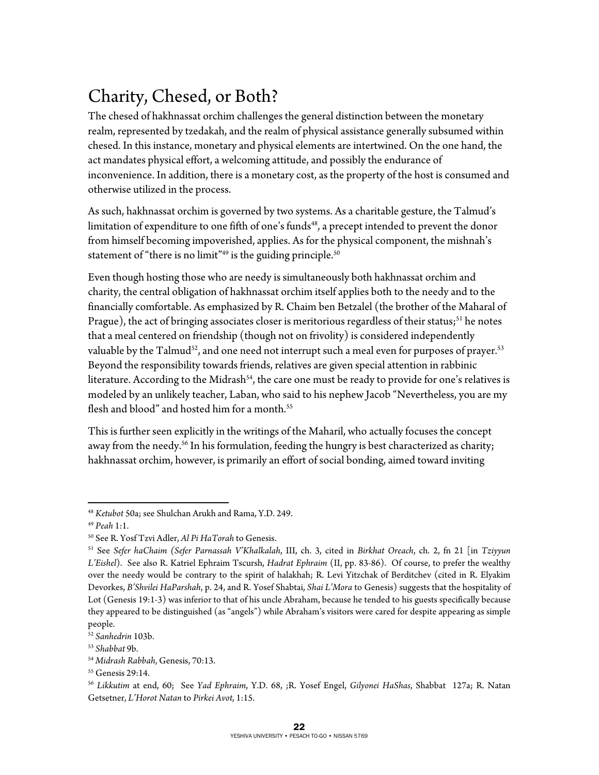## Charity, Chesed, or Both?

The chesed of hakhnassat orchim challenges the general distinction between the monetary realm, represented by tzedakah, and the realm of physical assistance generally subsumed within chesed. In this instance, monetary and physical elements are intertwined. On the one hand, the act mandates physical effort, a welcoming attitude, and possibly the endurance of inconvenience. In addition, there is a monetary cost, as the property of the host is consumed and otherwise utilized in the process.

As such, hakhnassat orchim is governed by two systems. As a charitable gesture, the Talmud's limitation of expenditure to one fifth of one's funds<sup>48</sup>, a precept intended to prevent the donor from himself becoming impoverished, applies. As for the physical component, the mishnah's statement of "there is no limit" $49$  is the guiding principle. $50$ 

Even though hosting those who are needy is simultaneously both hakhnassat orchim and charity, the central obligation of hakhnassat orchim itself applies both to the needy and to the financially comfortable. As emphasized by R. Chaim ben Betzalel (the brother of the Maharal of Prague), the act of bringing associates closer is meritorious regardless of their status;<sup>51</sup> he notes that a meal centered on friendship (though not on frivolity) is considered independently valuable by the Talmud<sup>52</sup>, and one need not interrupt such a meal even for purposes of prayer.<sup>53</sup> Beyond the responsibility towards friends, relatives are given special attention in rabbinic literature. According to the Midrash<sup>54</sup>, the care one must be ready to provide for one's relatives is modeled by an unlikely teacher, Laban, who said to his nephew Jacob "Nevertheless, you are my flesh and blood" and hosted him for a month.<sup>55</sup>

This is further seen explicitly in the writings of the Maharil, who actually focuses the concept away from the needy.<sup>56</sup> In his formulation, feeding the hungry is best characterized as charity; hakhnassat orchim, however, is primarily an effort of social bonding, aimed toward inviting

<sup>&</sup>lt;sup>48</sup> Ketubot 50a; see Shulchan Arukh and Rama, Y.D. 249.<br><sup>49</sup> Peah 1:1.<br><sup>50</sup> See R. Yosf Tzvi Adler, *Al Pi HaTorah* to Genesis.<br><sup>51</sup> See *Sefer haChaim (Sefer Parnassah V'Khalkalah*, III, ch. 3, cited in *Birkhat Oreach*, *L'Eishel*). See also R. Katriel Ephraim Tscursh, *Hadrat Ephraim* (II, pp. 83-86). Of course, to prefer the wealthy over the needy would be contrary to the spirit of halakhah; R. Levi Yitzchak of Berditchev (cited in R. Elyakim Devorkes, *B'Shvilei HaParshah*, p. 24, and R. Yosef Shabtai, *Shai L'Mora* to Genesis) suggests that the hospitality of Lot (Genesis 19:1-3) was inferior to that of his uncle Abraham, because he tended to his guests specifically because they appeared to be distinguished (as "angels") while Abraham's visitors were cared for despite appearing as simple people.

<sup>52</sup> *Sanhedrin* 103b. 53 *Shabbat* 9b. 54 *Midrash Rabbah*, Genesis, 70:13. 55 Genesis 29:14.

<sup>56</sup> *Likkutim* at end, 60; See *Yad Ephraim*, Y.D. 68, ;R. Yosef Engel, *Gilyonei HaShas*, Shabbat 127a; R. Natan Getsetner, *L'Horot Natan* to *Pirkei Avot*, 1:15.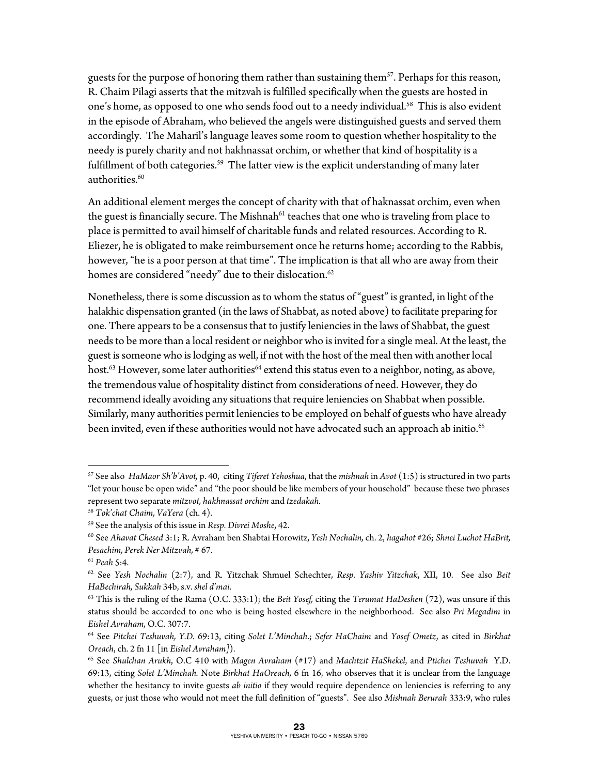guests for the purpose of honoring them rather than sustaining them<sup>57</sup>. Perhaps for this reason, R. Chaim Pilagi asserts that the mitzvah is fulfilled specifically when the guests are hosted in one's home, as opposed to one who sends food out to a needy individual.<sup>58</sup> This is also evident in the episode of Abraham, who believed the angels were distinguished guests and served them accordingly. The Maharil's language leaves some room to question whether hospitality to the needy is purely charity and not hakhnassat orchim, or whether that kind of hospitality is a fulfillment of both categories.<sup>59</sup> The latter view is the explicit understanding of many later authorities.<sup>60</sup>

An additional element merges the concept of charity with that of haknassat orchim, even when the guest is financially secure. The Mishnah<sup>61</sup> teaches that one who is traveling from place to place is permitted to avail himself of charitable funds and related resources. According to R. Eliezer, he is obligated to make reimbursement once he returns home; according to the Rabbis, however, "he is a poor person at that time". The implication is that all who are away from their homes are considered "needy" due to their dislocation.<sup>62</sup>

Nonetheless, there is some discussion as to whom the status of "guest" is granted, in light of the halakhic dispensation granted (in the laws of Shabbat, as noted above) to facilitate preparing for one. There appears to be a consensus that to justify leniencies in the laws of Shabbat, the guest needs to be more than a local resident or neighbor who is invited for a single meal. At the least, the guest is someone who is lodging as well, if not with the host of the meal then with another local host.<sup>63</sup> However, some later authorities<sup>64</sup> extend this status even to a neighbor, noting, as above, the tremendous value of hospitality distinct from considerations of need. However, they do recommend ideally avoiding any situations that require leniencies on Shabbat when possible. Similarly, many authorities permit leniencies to be employed on behalf of guests who have already been invited, even if these authorities would not have advocated such an approach ab initio.<sup>65</sup>

1

<sup>57</sup> See also *HaMaor Sh'b'Avot,* p. 40, citing *Tiferet Yehoshua*, that the *mishnah* in *Avot* (1:5) is structured in two parts "let your house be open wide" and "the poor should be like members of your household" because these two phrases represent two separate *mitzvot, hakhnassat orchim* and *tzedakah.* 

<sup>58</sup> *Tok'chat Chaim, VaYera* (ch. 4).

<sup>59</sup> See the analysis of this issue in *Resp. Divrei Moshe*, 42. 60 See *Ahavat Chesed* 3:1; R. Avraham ben Shabtai Horowitz, *Yesh Nochalin,* ch. 2, *hagahot* #26; *Shnei Luchot HaBrit, Pesachim, Perek Ner Mitzvah,* # 67. 61 *Peah* 5:4. 62 See *Yesh Nochalin* (2:7), and R. Yitzchak Shmuel Schechter, *Resp. Yashiv Yitzchak*, XII, 10. See also *Beit* 

*HaBechirah, Sukkah* 34b, s.v. *shel d'mai*.<br><sup>63</sup> This is the ruling of the Rama (O.C. 333:1); the *Beit Yosef, citing the Terumat HaDeshen* (72), was unsure if this

status should be accorded to one who is being hosted elsewhere in the neighborhood. See also *Pri Megadim* in *Eishel Avraham,* O.C. 307:7.

<sup>64</sup> See *Pitchei Teshuvah, Y.D.* 69:13, citing *Solet L'Minchah*.; *Sefer HaChaim* and *Yosef Ometz*, as cited in *Birkhat Oreach*, ch. 2 fn 11 [in *Eishel Avraham]*). 65 See *Shulchan Arukh*, O.C 410 with *Magen Avraham* (#17) and *Machtzit HaShekel*, and *Ptichei Teshuvah* Y.D.

<sup>69:13,</sup> citing *Solet L'Minchah.* Note *Birkhat HaOreach,* 6 fn 16, who observes that it is unclear from the language whether the hesitancy to invite guests *ab initio* if they would require dependence on leniencies is referring to any guests, or just those who would not meet the full definition of "guests". See also *Mishnah Berurah* 333:9, who rules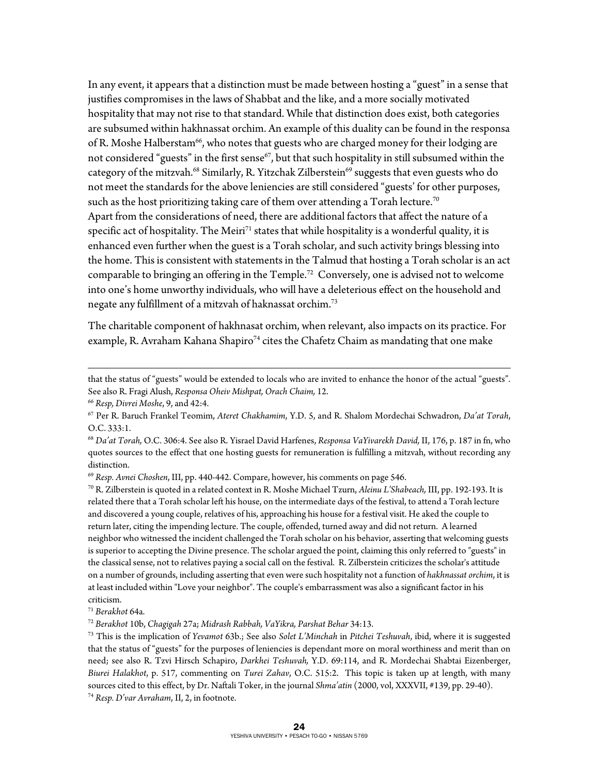In any event, it appears that a distinction must be made between hosting a "guest" in a sense that justifies compromises in the laws of Shabbat and the like, and a more socially motivated hospitality that may not rise to that standard. While that distinction does exist, both categories are subsumed within hakhnassat orchim. An example of this duality can be found in the responsa of R. Moshe Halberstam<sup>66</sup>, who notes that guests who are charged money for their lodging are not considered "guests" in the first sense<sup>67</sup>, but that such hospitality in still subsumed within the category of the mitzvah.<sup>68</sup> Similarly, R. Yitzchak Zilberstein<sup>69</sup> suggests that even guests who do not meet the standards for the above leniencies are still considered "guests' for other purposes, such as the host prioritizing taking care of them over attending a Torah lecture.<sup>70</sup> Apart from the considerations of need, there are additional factors that affect the nature of a specific act of hospitality. The Meiri<sup>71</sup> states that while hospitality is a wonderful quality, it is enhanced even further when the guest is a Torah scholar, and such activity brings blessing into the home. This is consistent with statements in the Talmud that hosting a Torah scholar is an act comparable to bringing an offering in the Temple.<sup>72</sup> Conversely, one is advised not to welcome into one's home unworthy individuals, who will have a deleterious effect on the household and negate any fulfillment of a mitzvah of haknassat orchim.73

The charitable component of hakhnasat orchim, when relevant, also impacts on its practice. For example, R. Avraham Kahana Shapiro<sup>74</sup> cites the Chafetz Chaim as mandating that one make

1

<sup>69</sup> *Resp. Avnei Choshen,* III, pp. 440-442. Compare, however, his comments on page 546.<br><sup>70</sup> R. Zilberstein is quoted in a related context in R. Moshe Michael Tzurn, *Aleinu L'Shabeach,* III, pp. 192-193. It is related there that a Torah scholar left his house, on the intermediate days of the festival, to attend a Torah lecture and discovered a young couple, relatives of his, approaching his house for a festival visit. He aked the couple to return later, citing the impending lecture. The couple, offended, turned away and did not return. A learned neighbor who witnessed the incident challenged the Torah scholar on his behavior, asserting that welcoming guests is superior to accepting the Divine presence. The scholar argued the point, claiming this only referred to "guests" in the classical sense, not to relatives paying a social call on the festival. R. Zilberstein criticizes the scholar's attitude on a number of grounds, including asserting that even were such hospitality not a function of *hakhnassat orchim*, it is at least included within "Love your neighbor". The couple's embarrassment was also a significant factor in his criticism.

that the status of "guests" would be extended to locals who are invited to enhance the honor of the actual "guests". See also R. Fragi Alush, *Responsa Oheiv Mishpat, Orach Chaim,* 12.<br><sup>66</sup> *Resp, Divrei Moshe, 9,* and 42:4.<br><sup>67</sup> Per R. Baruch Frankel Teomim, *Ateret Chakhamim*, Y.D. 5, and R. Shalom Mordechai Schwadron, *Da'at Torah*,

O.C. 333:1.

<sup>68</sup> *Da'at Torah,* O.C. 306:4. See also R. Yisrael David Harfenes, *Responsa VaYivarekh David,* II, 176, p. 187 in fn, who quotes sources to the effect that one hosting guests for remuneration is fulfilling a mitzvah, without recording any distinction.

<sup>&</sup>lt;sup>71</sup> Berakhot 64a.<br><sup>72</sup> Berakhot 10b, Chagigah 27a; Midrash Rabbah, VaYikra, Parshat Behar 34:13.<br><sup>73</sup> This is the implication of Yevamot 63b.; See also *Solet L'Minchah in Pitchei Teshuvah*, ibid, where it is suggested that the status of "guests" for the purposes of leniencies is dependant more on moral worthiness and merit than on need; see also R. Tzvi Hirsch Schapiro, *Darkhei Teshuvah,* Y.D. 69:114, and R. Mordechai Shabtai Eizenberger, *Biurei Halakhot*, p. 517, commenting on *Turei Zahav*, O.C. 515:2. This topic is taken up at length, with many sources cited to this effect, by Dr. Naftali Toker, in the journal *Shma'atin* (2000, vol, XXXVII, #139, pp. 29-40). 74 *Resp. D'var Avraham*, II, 2, in footnote.